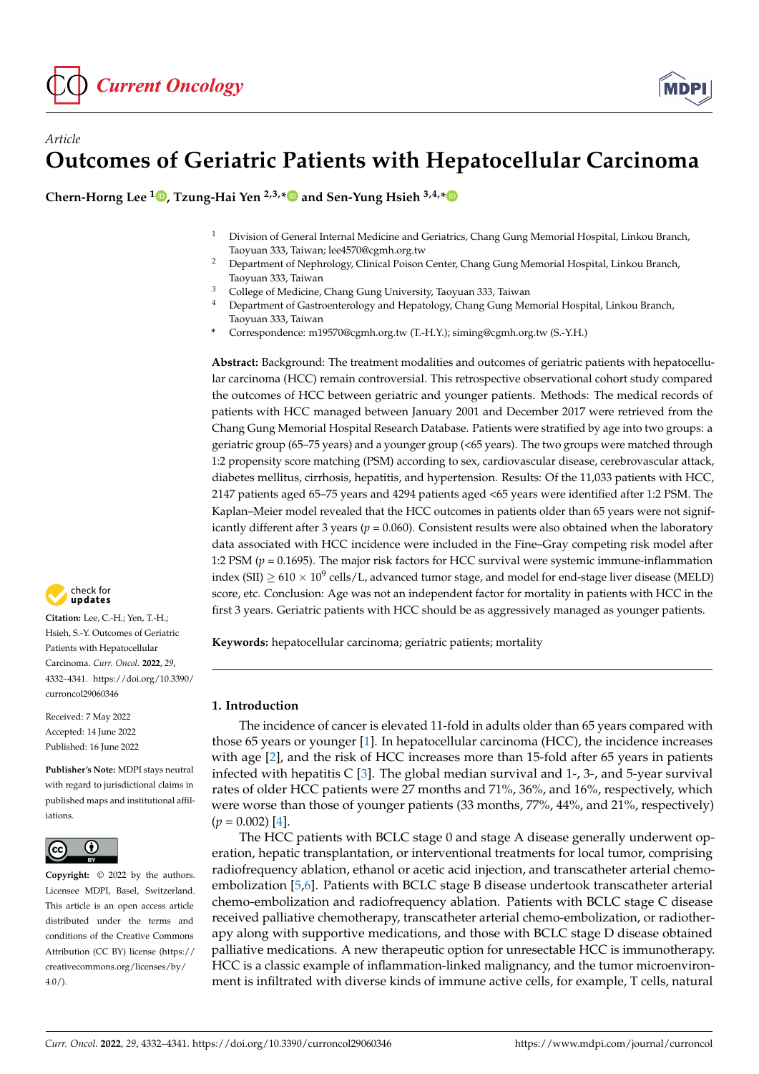

# *Article* **Outcomes of Geriatric Patients with Hepatocellular Carcinoma**

**Chern-Horng Lee <sup>1</sup> [,](https://orcid.org/0000-0002-2756-678X) Tzung-Hai Yen 2,3,[\\*](https://orcid.org/0000-0002-0907-1505) and Sen-Yung Hsieh 3,4,[\\*](https://orcid.org/0000-0002-1723-7261)**

- <sup>1</sup> Division of General Internal Medicine and Geriatrics, Chang Gung Memorial Hospital, Linkou Branch, Taoyuan 333, Taiwan; lee4570@cgmh.org.tw
- <sup>2</sup> Department of Nephrology, Clinical Poison Center, Chang Gung Memorial Hospital, Linkou Branch, Taoyuan 333, Taiwan
- <sup>3</sup> College of Medicine, Chang Gung University, Taoyuan 333, Taiwan  $\frac{4}{3}$  Department of Contexponent and Handelburg Chang Cung Mar
- <sup>4</sup> Department of Gastroenterology and Hepatology, Chang Gung Memorial Hospital, Linkou Branch, Taoyuan 333, Taiwan
- **\*** Correspondence: m19570@cgmh.org.tw (T.-H.Y.); siming@cgmh.org.tw (S.-Y.H.)

**Abstract:** Background: The treatment modalities and outcomes of geriatric patients with hepatocellular carcinoma (HCC) remain controversial. This retrospective observational cohort study compared the outcomes of HCC between geriatric and younger patients. Methods: The medical records of patients with HCC managed between January 2001 and December 2017 were retrieved from the Chang Gung Memorial Hospital Research Database. Patients were stratified by age into two groups: a geriatric group (65–75 years) and a younger group (<65 years). The two groups were matched through 1:2 propensity score matching (PSM) according to sex, cardiovascular disease, cerebrovascular attack, diabetes mellitus, cirrhosis, hepatitis, and hypertension. Results: Of the 11,033 patients with HCC, 2147 patients aged 65–75 years and 4294 patients aged <65 years were identified after 1:2 PSM. The Kaplan–Meier model revealed that the HCC outcomes in patients older than 65 years were not significantly different after 3 years ( $p = 0.060$ ). Consistent results were also obtained when the laboratory data associated with HCC incidence were included in the Fine–Gray competing risk model after 1:2 PSM (*p* = 0.1695). The major risk factors for HCC survival were systemic immune-inflammation index (SII)  $\geq 610 \times 10^9$  cells/L, advanced tumor stage, and model for end-stage liver disease (MELD) score, etc. Conclusion: Age was not an independent factor for mortality in patients with HCC in the first 3 years. Geriatric patients with HCC should be as aggressively managed as younger patients.

**Keywords:** hepatocellular carcinoma; geriatric patients; mortality

## **1. Introduction**

The incidence of cancer is elevated 11-fold in adults older than 65 years compared with those 65 years or younger [\[1\]](#page-8-0). In hepatocellular carcinoma (HCC), the incidence increases with age [\[2\]](#page-8-1), and the risk of HCC increases more than 15-fold after 65 years in patients infected with hepatitis C [\[3\]](#page-8-2). The global median survival and 1-, 3-, and 5-year survival rates of older HCC patients were 27 months and 71%, 36%, and 16%, respectively, which were worse than those of younger patients (33 months, 77%, 44%, and 21%, respectively)  $(p = 0.002)$  [\[4\]](#page-8-3).

The HCC patients with BCLC stage 0 and stage A disease generally underwent operation, hepatic transplantation, or interventional treatments for local tumor, comprising radiofrequency ablation, ethanol or acetic acid injection, and transcatheter arterial chemoembolization [\[5](#page-8-4)[,6\]](#page-8-5). Patients with BCLC stage B disease undertook transcatheter arterial chemo-embolization and radiofrequency ablation. Patients with BCLC stage C disease received palliative chemotherapy, transcatheter arterial chemo-embolization, or radiotherapy along with supportive medications, and those with BCLC stage D disease obtained palliative medications. A new therapeutic option for unresectable HCC is immunotherapy. HCC is a classic example of inflammation-linked malignancy, and the tumor microenvironment is infiltrated with diverse kinds of immune active cells, for example, T cells, natural



**Citation:** Lee, C.-H.; Yen, T.-H.; Hsieh, S.-Y. Outcomes of Geriatric Patients with Hepatocellular Carcinoma. *Curr. Oncol.* **2022**, *29*, 4332–4341. [https://doi.org/10.3390/](https://doi.org/10.3390/curroncol29060346) [curroncol29060346](https://doi.org/10.3390/curroncol29060346)

Received: 7 May 2022 Accepted: 14 June 2022 Published: 16 June 2022

**Publisher's Note:** MDPI stays neutral with regard to jurisdictional claims in published maps and institutional affiliations.



**Copyright:** © 2022 by the authors. Licensee MDPI, Basel, Switzerland. This article is an open access article distributed under the terms and conditions of the Creative Commons Attribution (CC BY) license [\(https://](https://creativecommons.org/licenses/by/4.0/) [creativecommons.org/licenses/by/](https://creativecommons.org/licenses/by/4.0/)  $4.0/$ ).

**MDP**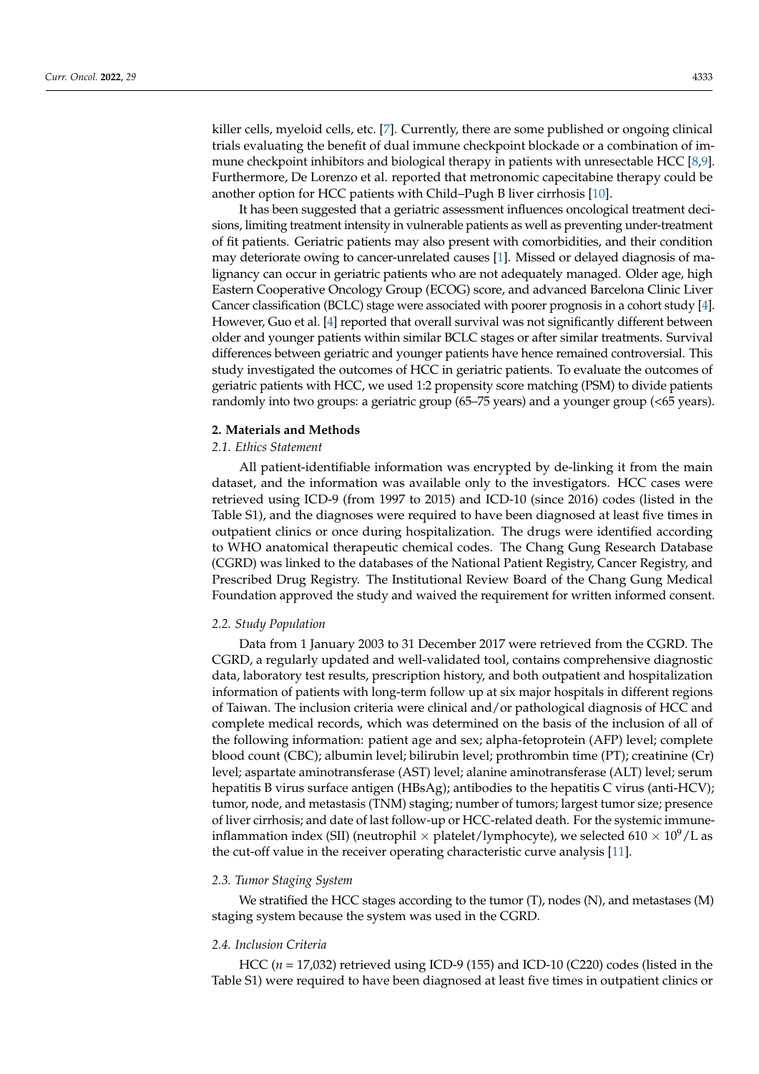killer cells, myeloid cells, etc. [\[7\]](#page-8-6). Currently, there are some published or ongoing clinical trials evaluating the benefit of dual immune checkpoint blockade or a combination of immune checkpoint inhibitors and biological therapy in patients with unresectable HCC [\[8](#page-8-7)[,9\]](#page-8-8). Furthermore, De Lorenzo et al. reported that metronomic capecitabine therapy could be another option for HCC patients with Child–Pugh B liver cirrhosis [\[10\]](#page-8-9).

It has been suggested that a geriatric assessment influences oncological treatment decisions, limiting treatment intensity in vulnerable patients as well as preventing under-treatment of fit patients. Geriatric patients may also present with comorbidities, and their condition may deteriorate owing to cancer-unrelated causes [\[1\]](#page-8-0). Missed or delayed diagnosis of malignancy can occur in geriatric patients who are not adequately managed. Older age, high Eastern Cooperative Oncology Group (ECOG) score, and advanced Barcelona Clinic Liver Cancer classification (BCLC) stage were associated with poorer prognosis in a cohort study [\[4\]](#page-8-3). However, Guo et al. [\[4\]](#page-8-3) reported that overall survival was not significantly different between older and younger patients within similar BCLC stages or after similar treatments. Survival differences between geriatric and younger patients have hence remained controversial. This study investigated the outcomes of HCC in geriatric patients. To evaluate the outcomes of geriatric patients with HCC, we used 1:2 propensity score matching (PSM) to divide patients randomly into two groups: a geriatric group (65–75 years) and a younger group (<65 years).

## **2. Materials and Methods**

#### *2.1. Ethics Statement*

All patient-identifiable information was encrypted by de-linking it from the main dataset, and the information was available only to the investigators. HCC cases were retrieved using ICD-9 (from 1997 to 2015) and ICD-10 (since 2016) codes (listed in the Table S1), and the diagnoses were required to have been diagnosed at least five times in outpatient clinics or once during hospitalization. The drugs were identified according to WHO anatomical therapeutic chemical codes. The Chang Gung Research Database (CGRD) was linked to the databases of the National Patient Registry, Cancer Registry, and Prescribed Drug Registry. The Institutional Review Board of the Chang Gung Medical Foundation approved the study and waived the requirement for written informed consent.

#### *2.2. Study Population*

Data from 1 January 2003 to 31 December 2017 were retrieved from the CGRD. The CGRD, a regularly updated and well-validated tool, contains comprehensive diagnostic data, laboratory test results, prescription history, and both outpatient and hospitalization information of patients with long-term follow up at six major hospitals in different regions of Taiwan. The inclusion criteria were clinical and/or pathological diagnosis of HCC and complete medical records, which was determined on the basis of the inclusion of all of the following information: patient age and sex; alpha-fetoprotein (AFP) level; complete blood count (CBC); albumin level; bilirubin level; prothrombin time (PT); creatinine (Cr) level; aspartate aminotransferase (AST) level; alanine aminotransferase (ALT) level; serum hepatitis B virus surface antigen (HBsAg); antibodies to the hepatitis C virus (anti-HCV); tumor, node, and metastasis (TNM) staging; number of tumors; largest tumor size; presence of liver cirrhosis; and date of last follow-up or HCC-related death. For the systemic immuneinflammation index (SII) (neutrophil  $\times$  platelet/lymphocyte), we selected 610  $\times$  10<sup>9</sup>/L as the cut-off value in the receiver operating characteristic curve analysis [\[11\]](#page-8-10).

#### *2.3. Tumor Staging System*

We stratified the HCC stages according to the tumor (T), nodes (N), and metastases (M) staging system because the system was used in the CGRD.

## *2.4. Inclusion Criteria*

HCC (*n* = 17,032) retrieved using ICD-9 (155) and ICD-10 (C220) codes (listed in the Table S1) were required to have been diagnosed at least five times in outpatient clinics or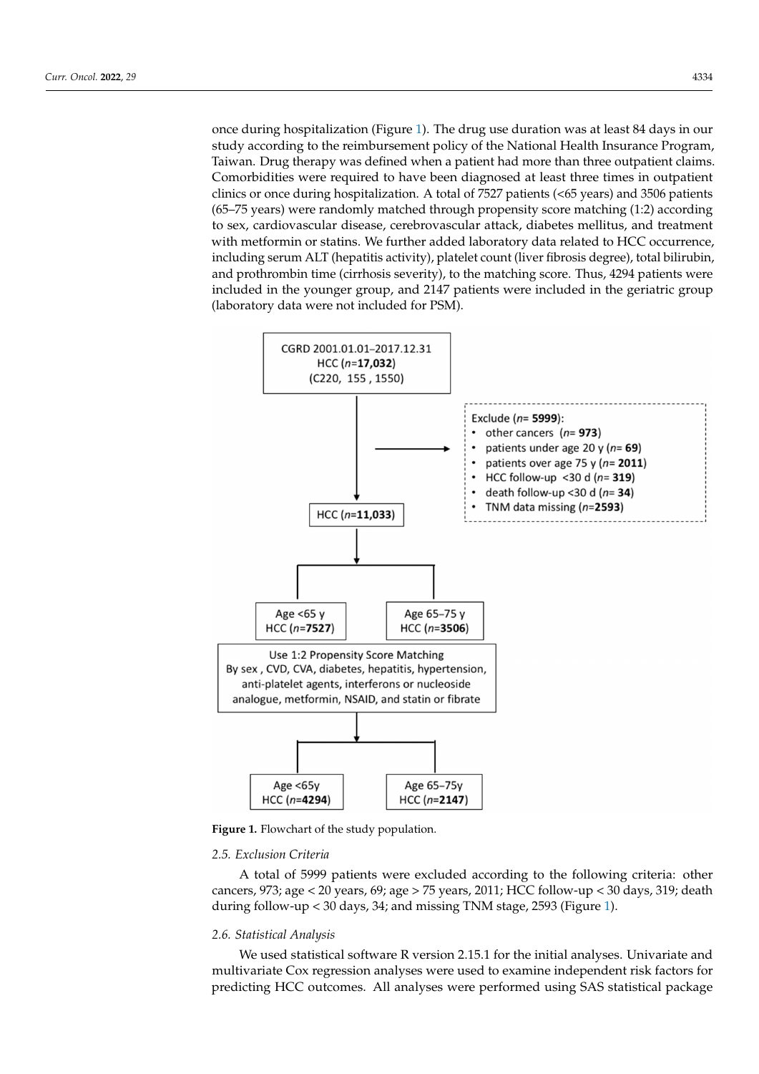once during hospitalization (Figure 1). The drug use duration was at least 84 days in our study according to the reimbursement policy of the National Health Insurance Program, Taiwan. Drug therapy was defined when a patient had more than three outpatient claims. Comorbidities were required to have been diagnosed at least three times in outpatient clinics or once during hospitalization. A total of 7527 patients (<65 years) and 3506 patients (65–75 years) were randomly matched through propensity score matching (1:2) according to sex, cardiovascular disease, cerebrovascular attack, diabetes mellitus, and treatment with metformin or statins. We further added laboratory data related to HCC occurrence, including serum ALT (hepatitis activity), platelet count (liver fibrosis degree), total bilirubin, and prothrombin time (cirrhosis severity), to the matching score. Thus, 4294 patients were included in the younger group, and 2147 patients were included in the geriatric group (laboratory data were not included for PSM).

<span id="page-2-0"></span>

**Figure 1.** Flowchart of the study population.

#### **Figure 1. Figure 1. Figure 1. Figure 1. Figure 1. Figure 1. Figure 1. Figure 1. Figure 1. Figure 1. Figure 1. Figure 1. Figure 1. Figure 1. Figure 1. Figure 1. Figure 1. Figure 1. Figur** *2.5. Exclusion Criteria*

A total of 5999 patients were excluded according to the following criteria: other cancers, 973; age < 20 years, 69; age > 75 years, 2011; HCC follow-up < 30 days, 319; death during follow-up < 30 days, 34; and missing TNM stage, 2593 (Figure [1\)](#page-2-0).

#### *2.6. Statistical Analysis*

We used statistical software R version 2.15.1 for the initial analyses. Univariate and multivariate Cox regression analyses were used to examine independent risk factors for predicting HCC outcomes. All analyses were performed using SAS statistical package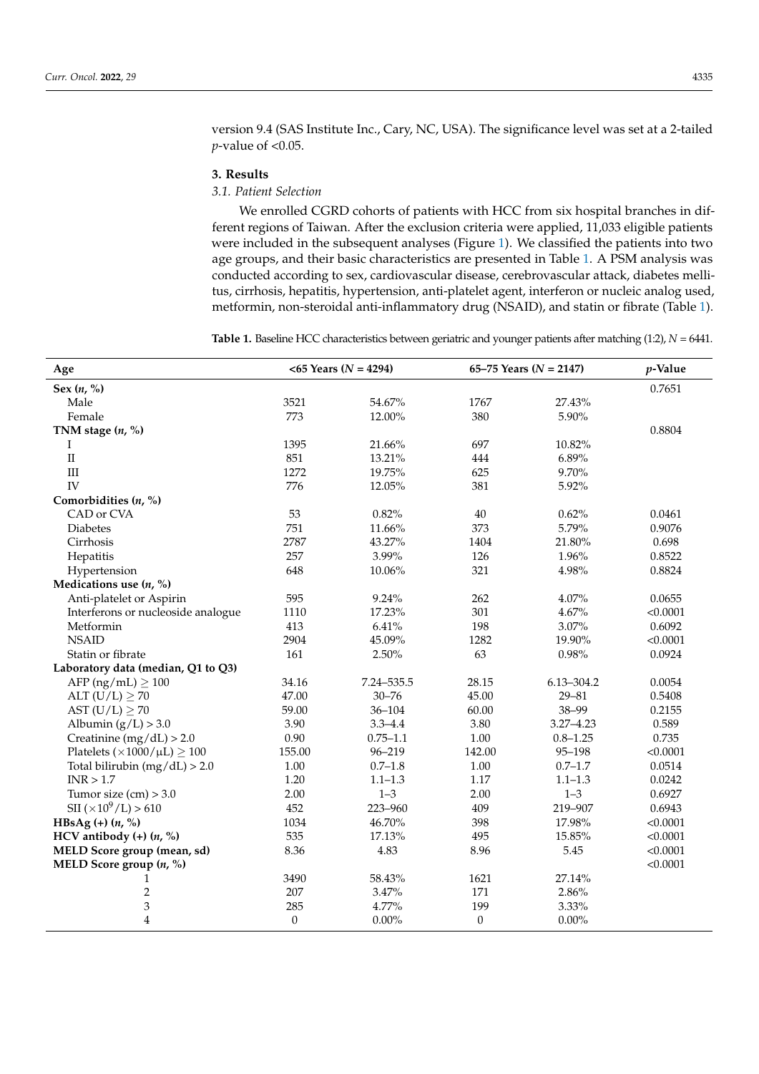version 9.4 (SAS Institute Inc., Cary, NC, USA). The significance level was set at a 2-tailed *p*-value of <0.05.

#### **3. Results**

## *3.1. Patient Selection*

We enrolled CGRD cohorts of patients with HCC from six hospital branches in different regions of Taiwan. After the exclusion criteria were applied, 11,033 eligible patients were included in the subsequent analyses (Figure [1\)](#page-2-0). We classified the patients into two age groups, and their basic characteristics are presented in Table [1.](#page-3-0) A PSM analysis was conducted according to sex, cardiovascular disease, cerebrovascular attack, diabetes mellitus, cirrhosis, hepatitis, hypertension, anti-platelet agent, interferon or nucleic analog used, metformin, non-steroidal anti-inflammatory drug (NSAID), and statin or fibrate (Table [1\)](#page-3-0).

<span id="page-3-0"></span>**Table 1.** Baseline HCC characteristics between geriatric and younger patients after matching (1:2), *N* = 6441.

| Age                                       |                  | $<$ 65 Years (N = 4294) | 65–75 Years ( $N = 2147$ ) | p-Value       |          |
|-------------------------------------------|------------------|-------------------------|----------------------------|---------------|----------|
| Sex $(n, %)$                              |                  |                         |                            |               | 0.7651   |
| Male                                      | 3521             | 54.67%                  | 1767                       | 27.43%        |          |
| Female                                    | 773              | 12.00%                  | 380                        | 5.90%         |          |
| TNM stage $(n, %)$                        |                  |                         |                            |               | 0.8804   |
| Ι                                         | 1395             | 21.66%                  | 697                        | 10.82%        |          |
| $\rm II$                                  | 851              | 13.21%                  | 444                        | 6.89%         |          |
| $\rm III$                                 | 1272             | 19.75%                  | 625                        | 9.70%         |          |
| IV                                        | 776              | 12.05%                  | 381                        | 5.92%         |          |
| Comorbidities $(n, %)$                    |                  |                         |                            |               |          |
| CAD or CVA                                | 53               | 0.82%                   | 40                         | 0.62%         | 0.0461   |
| <b>Diabetes</b>                           | 751              | 11.66%                  | 373                        | 5.79%         | 0.9076   |
| Cirrhosis                                 | 2787             | 43.27%                  | 1404                       | 21.80%        | 0.698    |
| Hepatitis                                 | 257              | 3.99%                   | 126                        | 1.96%         | 0.8522   |
| Hypertension                              | 648              | 10.06%                  | 321                        | 4.98%         | 0.8824   |
| Medications use $(n, %)$                  |                  |                         |                            |               |          |
| Anti-platelet or Aspirin                  | 595              | 9.24%                   | 262                        | 4.07%         | 0.0655   |
| Interferons or nucleoside analogue        | 1110             | 17.23%                  | 301                        | 4.67%         | < 0.0001 |
| Metformin                                 | 413              | 6.41%                   | 198                        | 3.07%         | 0.6092   |
| <b>NSAID</b>                              | 2904             | 45.09%                  | 1282                       | 19.90%        | < 0.0001 |
| Statin or fibrate                         | 161              | 2.50%                   | 63                         | 0.98%         | 0.0924   |
| Laboratory data (median, Q1 to Q3)        |                  |                         |                            |               |          |
| AFP ( $ng/mL$ ) $\geq 100$                | 34.16            | 7.24-535.5              | 28.15                      | 6.13-304.2    | 0.0054   |
| ALT $(U/L) \geq 70$                       | 47.00            | $30 - 76$               | 45.00                      | $29 - 81$     | 0.5408   |
| AST $(U/L) \geq 70$                       | 59.00            | $36 - 104$              | 60.00                      | 38-99         | 0.2155   |
| Albumin $(g/L) > 3.0$                     | 3.90             | $3.3 - 4.4$             | 3.80                       | $3.27 - 4.23$ | 0.589    |
| Creatinine $(mg/dL) > 2.0$                | 0.90             | $0.75 - 1.1$            | $1.00\,$                   | $0.8 - 1.25$  | 0.735    |
| Platelets $(\times 1000 / \mu L) \ge 100$ | 155.00           | $96 - 219$              | 142.00                     | 95-198        | < 0.0001 |
| Total bilirubin $(mg/dL) > 2.0$           | 1.00             | $0.7 - 1.8$             | 1.00                       | $0.7 - 1.7$   | 0.0514   |
| INR > 1.7                                 | 1.20             | $1.1 - 1.3$             | 1.17                       | $1.1 - 1.3$   | 0.0242   |
| Tumor size $(cm) > 3.0$                   | 2.00             | $1 - 3$                 | 2.00                       | $1 - 3$       | 0.6927   |
| $\text{SII}$ (×10 <sup>9</sup> /L) > 610  | 452              | 223-960                 | 409                        | 219-907       | 0.6943   |
| HBsAg $(+)$ $(n, %)$                      | 1034             | 46.70%                  | 398                        | 17.98%        | < 0.0001 |
| HCV antibody $(+)$ $(n, %)$               | 535              | 17.13%                  | 495                        | 15.85%        | < 0.0001 |
| MELD Score group (mean, sd)               | 8.36             | 4.83                    | 8.96                       | 5.45          | < 0.0001 |
| MELD Score group $(n, %)$                 |                  |                         |                            |               | < 0.0001 |
| 1                                         | 3490             | 58.43%                  | 1621                       | 27.14%        |          |
| $\overline{c}$                            | 207              | 3.47%                   | 171                        | 2.86%         |          |
| 3                                         | 285              | 4.77%                   | 199                        | 3.33%         |          |
| 4                                         | $\boldsymbol{0}$ | $0.00\%$                | $\boldsymbol{0}$           | $0.00\%$      |          |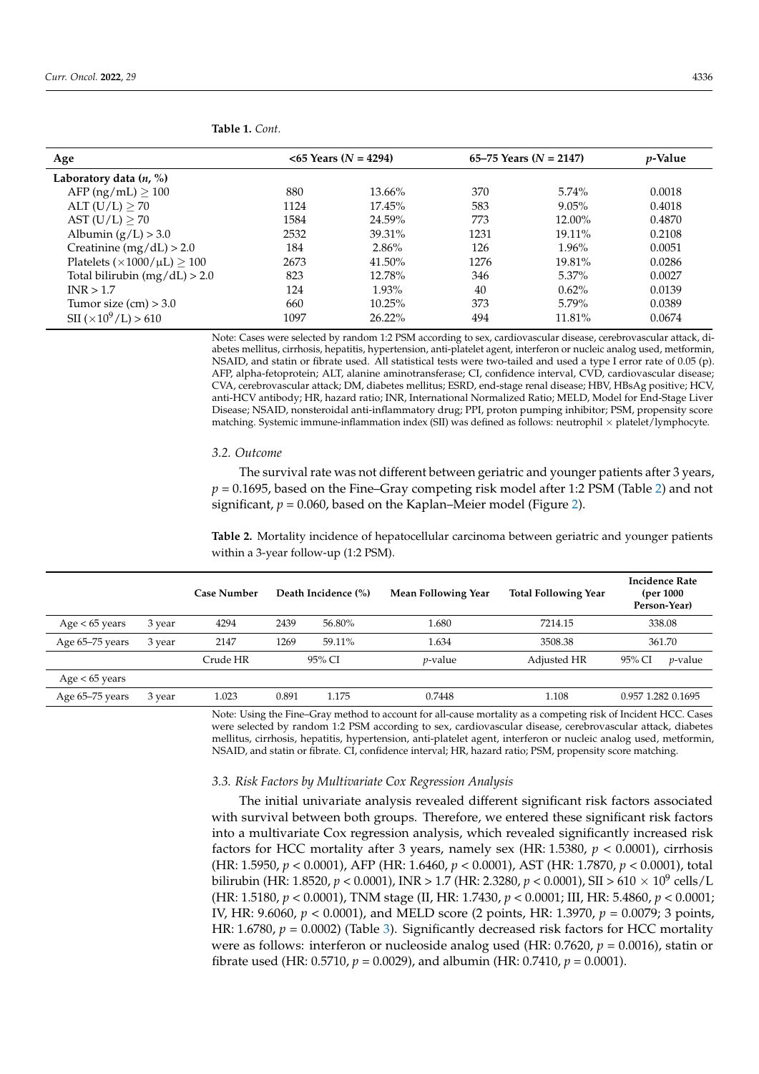| Age                                      |      | $<$ 65 Years (N = 4294) | 65–75 Years $(N = 2147)$ | <i>p</i> -Value |        |  |
|------------------------------------------|------|-------------------------|--------------------------|-----------------|--------|--|
| Laboratory data $(n, %)$                 |      |                         |                          |                 |        |  |
| AFP (ng/mL) $\geq 100$                   | 880  | $13.66\%$               | 370                      | $5.74\%$        | 0.0018 |  |
| ALT $(U/L) \geq 70$                      | 1124 | 17.45%                  | 583                      | 9.05%           | 0.4018 |  |
| AST $(U/L) \geq 70$                      | 1584 | 24.59%                  | 773                      | 12.00%          | 0.4870 |  |
| Albumin $(g/L) > 3.0$                    | 2532 | 39.31%                  | 1231                     | $19.11\%$       | 0.2108 |  |
| Creatinine (mg/dL) $> 2.0$               | 184  | 2.86%                   | 126                      | 1.96%           | 0.0051 |  |
| Platelets $(\times 1000/\mu L) \ge 100$  | 2673 | 41.50%                  | 1276                     | 19.81%          | 0.0286 |  |
| Total bilirubin $(mg/dL) > 2.0$          | 823  | 12.78%                  | 346                      | $5.37\%$        | 0.0027 |  |
| INR > 1.7                                | 124  | 1.93%                   | 40                       | $0.62\%$        | 0.0139 |  |
| Tumor size $(cm) > 3.0$                  | 660  | 10.25%                  | 373                      | 5.79%           | 0.0389 |  |
| $\text{SII}$ ( $\times 10^9$ /L) $> 610$ | 1097 | $26.22\%$               | 494                      | 11.81%          | 0.0674 |  |

**Table 1.** *Cont.*

Note: Cases were selected by random 1:2 PSM according to sex, cardiovascular disease, cerebrovascular attack, diabetes mellitus, cirrhosis, hepatitis, hypertension, anti-platelet agent, interferon or nucleic analog used, metformin, NSAID, and statin or fibrate used. All statistical tests were two-tailed and used a type I error rate of 0.05 (p). AFP, alpha-fetoprotein; ALT, alanine aminotransferase; CI, confidence interval, CVD, cardiovascular disease; CVA, cerebrovascular attack; DM, diabetes mellitus; ESRD, end-stage renal disease; HBV, HBsAg positive; HCV, anti-HCV antibody; HR, hazard ratio; INR, International Normalized Ratio; MELD, Model for End-Stage Liver Disease; NSAID, nonsteroidal anti-inflammatory drug; PPI, proton pumping inhibitor; PSM, propensity score matching. Systemic immune-inflammation index (SII) was defined as follows: neutrophil  $\times$  platelet/lymphocyte.

#### *3.2. Outcome*

The survival rate was not different between geriatric and younger patients after 3 years, *p* = 0.1695, based on the Fine–Gray competing risk model after 1:2 PSM (Table [2\)](#page-4-0) and not significant, *p* = 0.060, based on the Kaplan–Meier model (Figure [2\)](#page-5-0).

<span id="page-4-0"></span>**Table 2.** Mortality incidence of hepatocellular carcinoma between geriatric and younger patients within a 3-year follow-up (1:2 PSM).

|                  |        | <b>Case Number</b> | Death Incidence (%) |        | Mean Following Year | <b>Total Following Year</b> | <b>Incidence Rate</b><br>(per 1000)<br>Person-Year) |                 |
|------------------|--------|--------------------|---------------------|--------|---------------------|-----------------------------|-----------------------------------------------------|-----------------|
| Age $< 65$ years | 3 year | 4294               | 2439                | 56.80% | 1.680               | 7214.15                     |                                                     | 338.08          |
| Age 65-75 years  | 3 year | 2147               | 1269                | 59.11% | 1.634               | 3508.38                     | 361.70                                              |                 |
|                  |        | Crude HR           |                     | 95% CI | <i>v</i> -value     | Adjusted HR                 | 95% CI                                              | <i>p</i> -value |
| Age $< 65$ years |        |                    |                     |        |                     |                             |                                                     |                 |
| Age 65–75 years  | 3 year | 1.023              | 0.891               | 1.175  | 0.7448              | 1.108                       | 0.957 1.282 0.1695                                  |                 |

Note: Using the Fine–Gray method to account for all-cause mortality as a competing risk of Incident HCC. Cases were selected by random 1:2 PSM according to sex, cardiovascular disease, cerebrovascular attack, diabetes mellitus, cirrhosis, hepatitis, hypertension, anti-platelet agent, interferon or nucleic analog used, metformin, NSAID, and statin or fibrate. CI, confidence interval; HR, hazard ratio; PSM, propensity score matching.

### *3.3. Risk Factors by Multivariate Cox Regression Analysis*

The initial univariate analysis revealed different significant risk factors associated with survival between both groups. Therefore, we entered these significant risk factors into a multivariate Cox regression analysis, which revealed significantly increased risk factors for HCC mortality after 3 years, namely sex (HR: 1.5380, *p* < 0.0001), cirrhosis (HR: 1.5950, *p* < 0.0001), AFP (HR: 1.6460, *p* < 0.0001), AST (HR: 1.7870, *p* < 0.0001), total bilirubin (HR: 1.8520, *p* < 0.0001), INR > 1.7 (HR: 2.3280, *p* < 0.0001), SII > 610 × 10<sup>9</sup> cells/L (HR: 1.5180, *p* < 0.0001), TNM stage (II, HR: 1.7430, *p* < 0.0001; III, HR: 5.4860, *p* < 0.0001; IV, HR: 9.6060, *p* < 0.0001), and MELD score (2 points, HR: 1.3970, *p* = 0.0079; 3 points, HR: 1.6780,  $p = 0.0002$ ) (Table [3\)](#page-5-1). Significantly decreased risk factors for HCC mortality were as follows: interferon or nucleoside analog used (HR: 0.7620, *p* = 0.0016), statin or fibrate used (HR: 0.5710, *p* = 0.0029), and albumin (HR: 0.7410, *p* = 0.0001).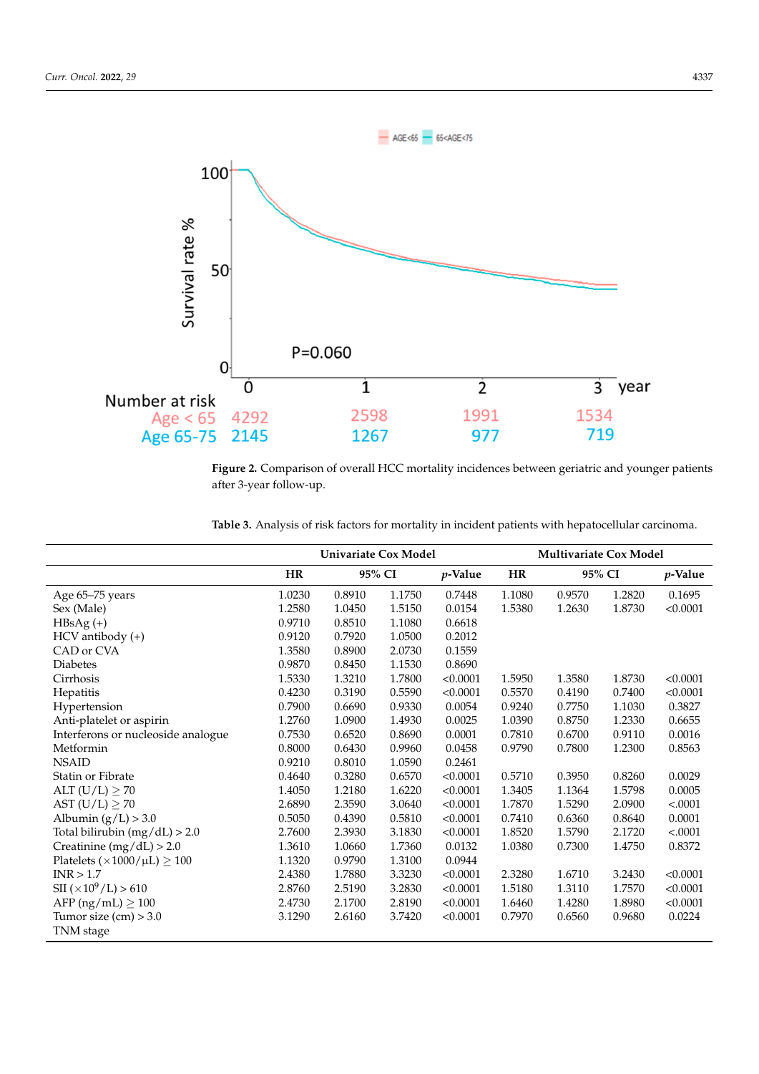<span id="page-5-0"></span>

**Figure 2. Figure 3.**  $\frac{1}{2}$  more comparison of  $\frac{1}{2}$  more patients and  $\frac{1}{2}$  more patients in  $\frac{1}{2}$  more patients in  $\frac{1}{2}$  more contract patients in  $\frac{1}{2}$  more contract patients in  $\frac{1}{2}$  more **Figure 2.** Comparison of overall HCC mortality incidences between geriatric and younger patients

<span id="page-5-1"></span>

| <b>Table 3.</b> Analysis of risk factors for mortality in incident patients with hepatocellular carcinoma. |
|------------------------------------------------------------------------------------------------------------|
|------------------------------------------------------------------------------------------------------------|

|                                           | <b>Univariate Cox Model</b> |        |        |            | Multivariate Cox Model |        |        |          |
|-------------------------------------------|-----------------------------|--------|--------|------------|------------------------|--------|--------|----------|
|                                           | <b>HR</b>                   | 95% CI |        | $p$ -Value | HR                     | 95% CI |        | p-Value  |
| Age 65-75 years                           | 1.0230                      | 0.8910 | 1.1750 | 0.7448     | 1.1080                 | 0.9570 | 1.2820 | 0.1695   |
| Sex (Male)                                | 1.2580                      | 1.0450 | 1.5150 | 0.0154     | 1.5380                 | 1.2630 | 1.8730 | < 0.0001 |
| $HBsAg (+)$                               | 0.9710                      | 0.8510 | 1.1080 | 0.6618     |                        |        |        |          |
| HCV antibody (+)                          | 0.9120                      | 0.7920 | 1.0500 | 0.2012     |                        |        |        |          |
| CAD or CVA                                | 1.3580                      | 0.8900 | 2.0730 | 0.1559     |                        |        |        |          |
| <b>Diabetes</b>                           | 0.9870                      | 0.8450 | 1.1530 | 0.8690     |                        |        |        |          |
| Cirrhosis                                 | 1.5330                      | 1.3210 | 1.7800 | < 0.0001   | 1.5950                 | 1.3580 | 1.8730 | < 0.0001 |
| Hepatitis                                 | 0.4230                      | 0.3190 | 0.5590 | < 0.0001   | 0.5570                 | 0.4190 | 0.7400 | < 0.0001 |
| Hypertension                              | 0.7900                      | 0.6690 | 0.9330 | 0.0054     | 0.9240                 | 0.7750 | 1.1030 | 0.3827   |
| Anti-platelet or aspirin                  | 1.2760                      | 1.0900 | 1.4930 | 0.0025     | 1.0390                 | 0.8750 | 1.2330 | 0.6655   |
| Interferons or nucleoside analogue        | 0.7530                      | 0.6520 | 0.8690 | 0.0001     | 0.7810                 | 0.6700 | 0.9110 | 0.0016   |
| Metformin                                 | 0.8000                      | 0.6430 | 0.9960 | 0.0458     | 0.9790                 | 0.7800 | 1.2300 | 0.8563   |
| <b>NSAID</b>                              | 0.9210                      | 0.8010 | 1.0590 | 0.2461     |                        |        |        |          |
| Statin or Fibrate                         | 0.4640                      | 0.3280 | 0.6570 | < 0.0001   | 0.5710                 | 0.3950 | 0.8260 | 0.0029   |
| ALT $(U/L) \geq 70$                       | 1.4050                      | 1.2180 | 1.6220 | < 0.0001   | 1.3405                 | 1.1364 | 1.5798 | 0.0005   |
| AST $(U/L) \geq 70$                       | 2.6890                      | 2.3590 | 3.0640 | < 0.0001   | 1.7870                 | 1.5290 | 2.0900 | < .0001  |
| Albumin $(g/L) > 3.0$                     | 0.5050                      | 0.4390 | 0.5810 | < 0.0001   | 0.7410                 | 0.6360 | 0.8640 | 0.0001   |
| Total bilirubin $(mg/dL) > 2.0$           | 2.7600                      | 2.3930 | 3.1830 | < 0.0001   | 1.8520                 | 1.5790 | 2.1720 | < .0001  |
| Creatinine $(mg/dL) > 2.0$                | 1.3610                      | 1.0660 | 1.7360 | 0.0132     | 1.0380                 | 0.7300 | 1.4750 | 0.8372   |
| Platelets $(\times 1000 / \mu L) \ge 100$ | 1.1320                      | 0.9790 | 1.3100 | 0.0944     |                        |        |        |          |
| INR > 1.7                                 | 2.4380                      | 1.7880 | 3.3230 | < 0.0001   | 2.3280                 | 1.6710 | 3.2430 | < 0.0001 |
| $\text{SII}$ (×10 <sup>9</sup> /L) > 610  | 2.8760                      | 2.5190 | 3.2830 | < 0.0001   | 1.5180                 | 1.3110 | 1.7570 | < 0.0001 |
| AFP $(ng/mL) \ge 100$                     | 2.4730                      | 2.1700 | 2.8190 | < 0.0001   | 1.6460                 | 1.4280 | 1.8980 | < 0.0001 |
| Tumor size $(cm) > 3.0$                   | 3.1290                      | 2.6160 | 3.7420 | < 0.0001   | 0.7970                 | 0.6560 | 0.9680 | 0.0224   |
| TNM stage                                 |                             |        |        |            |                        |        |        |          |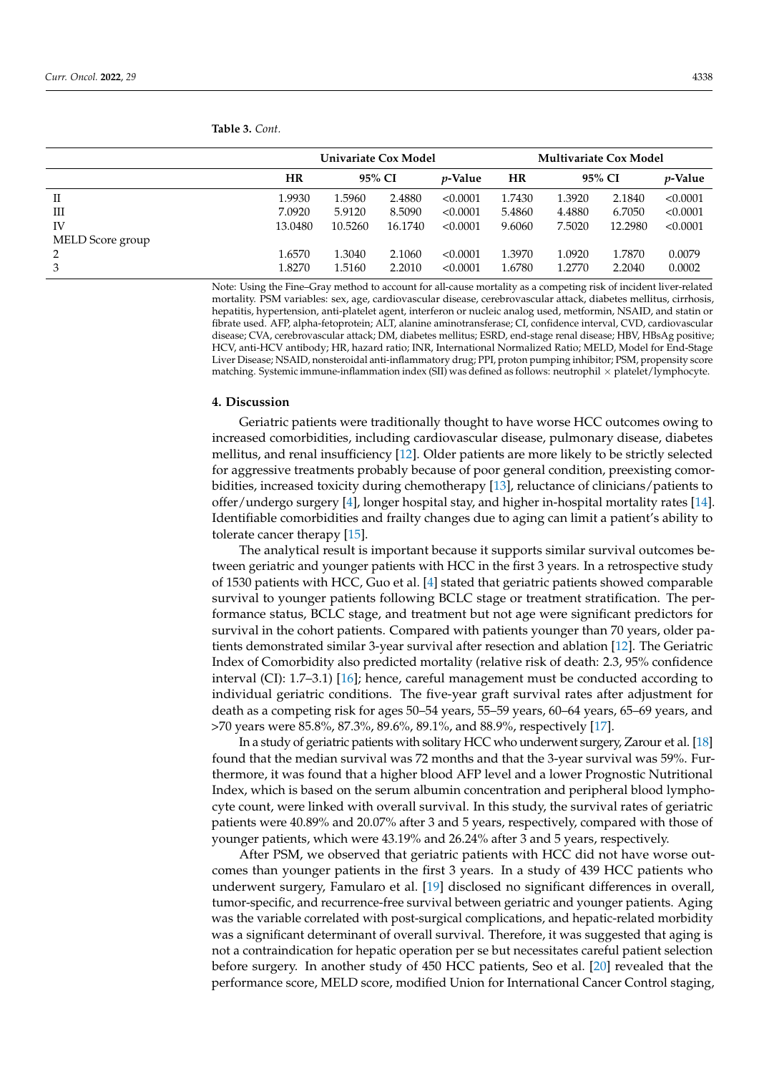|                  |           | Univariate Cox Model |         |                 |        | <b>Multivariate Cox Model</b> |         |                 |  |  |
|------------------|-----------|----------------------|---------|-----------------|--------|-------------------------------|---------|-----------------|--|--|
|                  | <b>HR</b> | 95% CI               |         | <i>v</i> -Value | HR     | 95% CI                        |         | <i>p</i> -Value |  |  |
| П                | 1.9930    | 1.5960               | 2.4880  | < 0.0001        | 1.7430 | 1.3920                        | 2.1840  | < 0.0001        |  |  |
| Ш                | 7.0920    | 5.9120               | 8.5090  | < 0.0001        | 5.4860 | 4.4880                        | 6.7050  | < 0.0001        |  |  |
| IV               | 13.0480   | 10.5260              | 16.1740 | < 0.0001        | 9.6060 | 7.5020                        | 12.2980 | < 0.0001        |  |  |
| MELD Score group |           |                      |         |                 |        |                               |         |                 |  |  |
|                  | 1.6570    | 1.3040               | 2.1060  | < 0.0001        | 1.3970 | 1.0920                        | 1.7870  | 0.0079          |  |  |
|                  | 1.8270    | 1.5160               | 2.2010  | < 0.0001        | 1.6780 | 1.2770                        | 2.2040  | 0.0002          |  |  |

**Table 3.** *Cont.*

Note: Using the Fine–Gray method to account for all-cause mortality as a competing risk of incident liver-related mortality. PSM variables: sex, age, cardiovascular disease, cerebrovascular attack, diabetes mellitus, cirrhosis, hepatitis, hypertension, anti-platelet agent, interferon or nucleic analog used, metformin, NSAID, and statin or fibrate used. AFP, alpha-fetoprotein; ALT, alanine aminotransferase; CI, confidence interval, CVD, cardiovascular disease; CVA, cerebrovascular attack; DM, diabetes mellitus; ESRD, end-stage renal disease; HBV, HBsAg positive; HCV, anti-HCV antibody; HR, hazard ratio; INR, International Normalized Ratio; MELD, Model for End-Stage Liver Disease; NSAID, nonsteroidal anti-inflammatory drug; PPI, proton pumping inhibitor; PSM, propensity score matching. Systemic immune-inflammation index (SII) was defined as follows: neutrophil  $\times$  platelet/lymphocyte.

#### **4. Discussion**

Geriatric patients were traditionally thought to have worse HCC outcomes owing to increased comorbidities, including cardiovascular disease, pulmonary disease, diabetes mellitus, and renal insufficiency [\[12\]](#page-8-11). Older patients are more likely to be strictly selected for aggressive treatments probably because of poor general condition, preexisting comorbidities, increased toxicity during chemotherapy [\[13\]](#page-8-12), reluctance of clinicians/patients to offer/undergo surgery [\[4\]](#page-8-3), longer hospital stay, and higher in-hospital mortality rates [\[14\]](#page-8-13). Identifiable comorbidities and frailty changes due to aging can limit a patient's ability to tolerate cancer therapy [\[15\]](#page-8-14).

The analytical result is important because it supports similar survival outcomes between geriatric and younger patients with HCC in the first 3 years. In a retrospective study of 1530 patients with HCC, Guo et al. [\[4\]](#page-8-3) stated that geriatric patients showed comparable survival to younger patients following BCLC stage or treatment stratification. The performance status, BCLC stage, and treatment but not age were significant predictors for survival in the cohort patients. Compared with patients younger than 70 years, older patients demonstrated similar 3-year survival after resection and ablation [\[12\]](#page-8-11). The Geriatric Index of Comorbidity also predicted mortality (relative risk of death: 2.3, 95% confidence interval (CI): 1.7–3.1) [\[16\]](#page-8-15); hence, careful management must be conducted according to individual geriatric conditions. The five-year graft survival rates after adjustment for death as a competing risk for ages 50–54 years, 55–59 years, 60–64 years, 65–69 years, and >70 years were 85.8%, 87.3%, 89.6%, 89.1%, and 88.9%, respectively [\[17\]](#page-8-16).

In a study of geriatric patients with solitary HCC who underwent surgery, Zarour et al. [\[18\]](#page-8-17) found that the median survival was 72 months and that the 3-year survival was 59%. Furthermore, it was found that a higher blood AFP level and a lower Prognostic Nutritional Index, which is based on the serum albumin concentration and peripheral blood lymphocyte count, were linked with overall survival. In this study, the survival rates of geriatric patients were 40.89% and 20.07% after 3 and 5 years, respectively, compared with those of younger patients, which were 43.19% and 26.24% after 3 and 5 years, respectively.

After PSM, we observed that geriatric patients with HCC did not have worse outcomes than younger patients in the first 3 years. In a study of 439 HCC patients who underwent surgery, Famularo et al. [\[19\]](#page-8-18) disclosed no significant differences in overall, tumor-specific, and recurrence-free survival between geriatric and younger patients. Aging was the variable correlated with post-surgical complications, and hepatic-related morbidity was a significant determinant of overall survival. Therefore, it was suggested that aging is not a contraindication for hepatic operation per se but necessitates careful patient selection before surgery. In another study of 450 HCC patients, Seo et al. [\[20\]](#page-8-19) revealed that the performance score, MELD score, modified Union for International Cancer Control staging,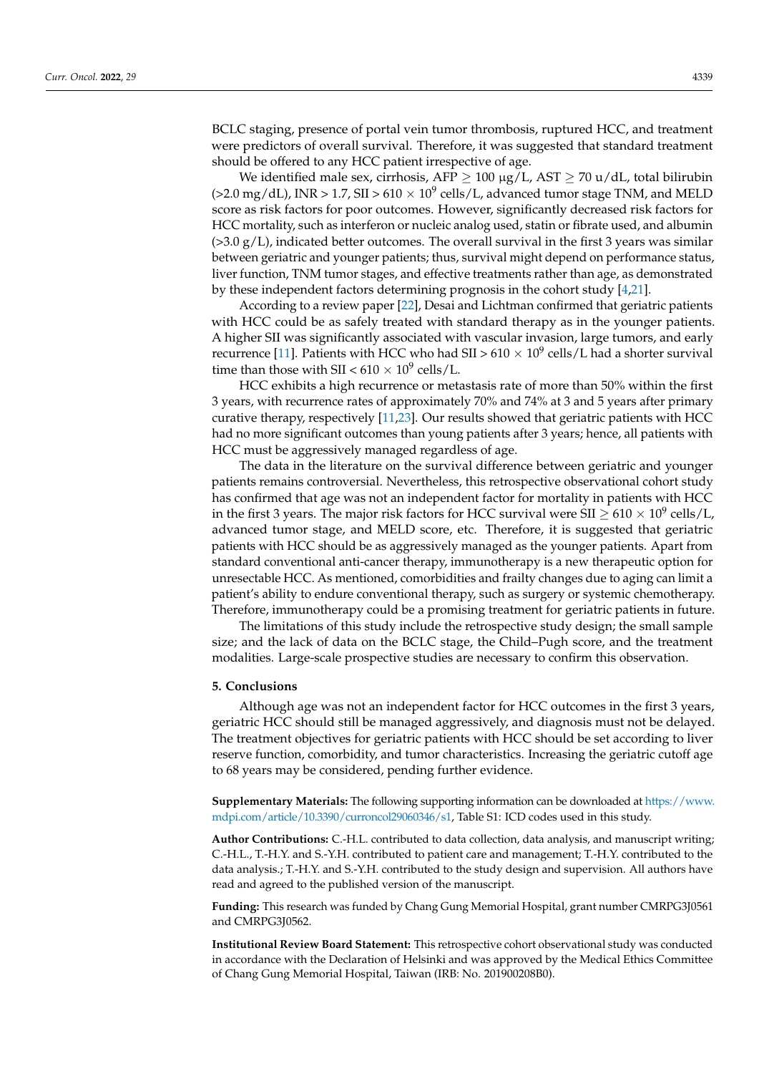BCLC staging, presence of portal vein tumor thrombosis, ruptured HCC, and treatment were predictors of overall survival. Therefore, it was suggested that standard treatment should be offered to any HCC patient irrespective of age.

We identified male sex, cirrhosis, AFP  $\geq 100 \mu$ g/L, AST  $\geq 70 \mu$ /dL, total bilirubin (>2.0 mg/dL), INR > 1.7, SII >  $610 \times 10^9$  cells/L, advanced tumor stage TNM, and MELD score as risk factors for poor outcomes. However, significantly decreased risk factors for HCC mortality, such as interferon or nucleic analog used, statin or fibrate used, and albumin  $(>3.0 \text{ g/L})$ , indicated better outcomes. The overall survival in the first 3 years was similar between geriatric and younger patients; thus, survival might depend on performance status, liver function, TNM tumor stages, and effective treatments rather than age, as demonstrated by these independent factors determining prognosis in the cohort study [\[4](#page-8-3)[,21\]](#page-9-0).

According to a review paper [\[22\]](#page-9-1), Desai and Lichtman confirmed that geriatric patients with HCC could be as safely treated with standard therapy as in the younger patients. A higher SII was significantly associated with vascular invasion, large tumors, and early recurrence [\[11\]](#page-8-10). Patients with HCC who had SII > 610  $\times$  10 $^9$  cells/L had a shorter survival time than those with SII <  $610 \times 10^9$  cells/L.

HCC exhibits a high recurrence or metastasis rate of more than 50% within the first 3 years, with recurrence rates of approximately 70% and 74% at 3 and 5 years after primary curative therapy, respectively [\[11](#page-8-10)[,23\]](#page-9-2). Our results showed that geriatric patients with HCC had no more significant outcomes than young patients after 3 years; hence, all patients with HCC must be aggressively managed regardless of age.

The data in the literature on the survival difference between geriatric and younger patients remains controversial. Nevertheless, this retrospective observational cohort study has confirmed that age was not an independent factor for mortality in patients with HCC in the first 3 years. The major risk factors for HCC survival were SII  $\geq$  610  $\times$  10 $^9$  cells/L, advanced tumor stage, and MELD score, etc. Therefore, it is suggested that geriatric patients with HCC should be as aggressively managed as the younger patients. Apart from standard conventional anti-cancer therapy, immunotherapy is a new therapeutic option for unresectable HCC. As mentioned, comorbidities and frailty changes due to aging can limit a patient's ability to endure conventional therapy, such as surgery or systemic chemotherapy. Therefore, immunotherapy could be a promising treatment for geriatric patients in future.

The limitations of this study include the retrospective study design; the small sample size; and the lack of data on the BCLC stage, the Child–Pugh score, and the treatment modalities. Large-scale prospective studies are necessary to confirm this observation.

## **5. Conclusions**

Although age was not an independent factor for HCC outcomes in the first 3 years, geriatric HCC should still be managed aggressively, and diagnosis must not be delayed. The treatment objectives for geriatric patients with HCC should be set according to liver reserve function, comorbidity, and tumor characteristics. Increasing the geriatric cutoff age to 68 years may be considered, pending further evidence.

**Supplementary Materials:** The following supporting information can be downloaded at [https://www.](https://www.mdpi.com/article/10.3390/curroncol29060346/s1) [mdpi.com/article/10.3390/curroncol29060346/s1,](https://www.mdpi.com/article/10.3390/curroncol29060346/s1) Table S1: ICD codes used in this study.

**Author Contributions:** C.-H.L. contributed to data collection, data analysis, and manuscript writing; C.-H.L., T.-H.Y. and S.-Y.H. contributed to patient care and management; T.-H.Y. contributed to the data analysis.; T.-H.Y. and S.-Y.H. contributed to the study design and supervision. All authors have read and agreed to the published version of the manuscript.

**Funding:** This research was funded by Chang Gung Memorial Hospital, grant number CMRPG3J0561 and CMRPG3J0562.

**Institutional Review Board Statement:** This retrospective cohort observational study was conducted in accordance with the Declaration of Helsinki and was approved by the Medical Ethics Committee of Chang Gung Memorial Hospital, Taiwan (IRB: No. 201900208B0).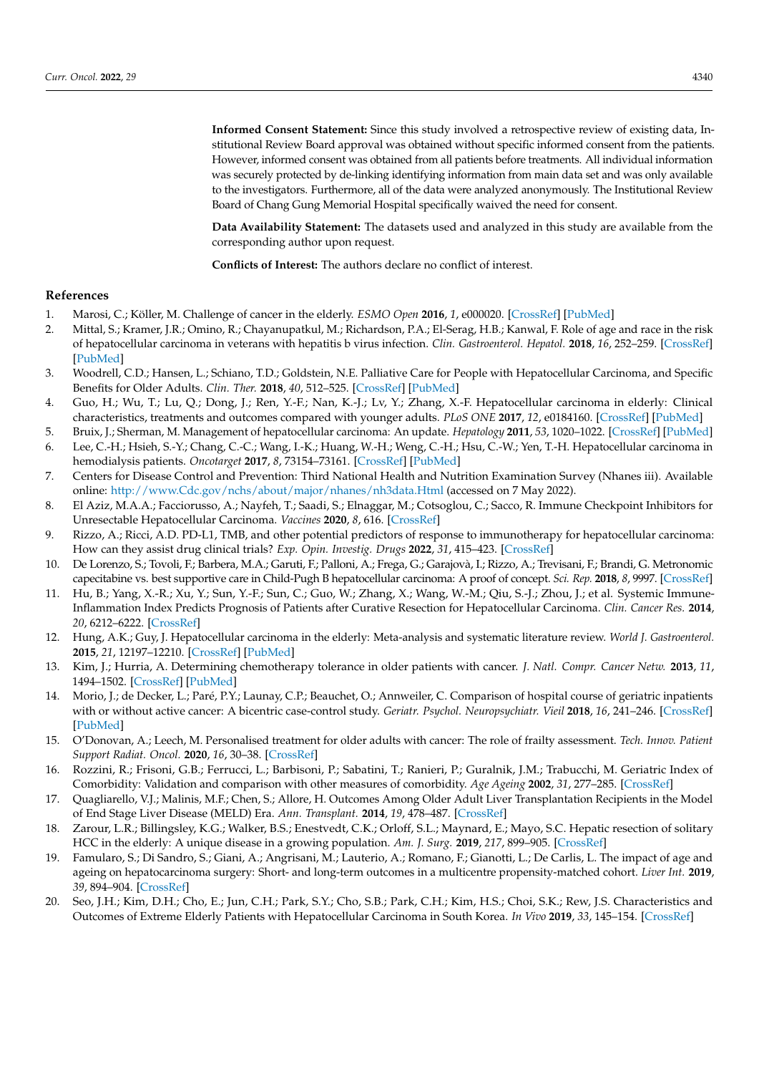**Informed Consent Statement:** Since this study involved a retrospective review of existing data, Institutional Review Board approval was obtained without specific informed consent from the patients. However, informed consent was obtained from all patients before treatments. All individual information was securely protected by de-linking identifying information from main data set and was only available to the investigators. Furthermore, all of the data were analyzed anonymously. The Institutional Review Board of Chang Gung Memorial Hospital specifically waived the need for consent.

**Data Availability Statement:** The datasets used and analyzed in this study are available from the corresponding author upon request.

**Conflicts of Interest:** The authors declare no conflict of interest.

#### **References**

- <span id="page-8-0"></span>1. Marosi, C.; Köller, M. Challenge of cancer in the elderly. *ESMO Open* **2016**, *1*, e000020. [\[CrossRef\]](http://doi.org/10.1136/esmoopen-2015-000020) [\[PubMed\]](http://www.ncbi.nlm.nih.gov/pubmed/27843603)
- <span id="page-8-1"></span>2. Mittal, S.; Kramer, J.R.; Omino, R.; Chayanupatkul, M.; Richardson, P.A.; El-Serag, H.B.; Kanwal, F. Role of age and race in the risk of hepatocellular carcinoma in veterans with hepatitis b virus infection. *Clin. Gastroenterol. Hepatol.* **2018**, *16*, 252–259. [\[CrossRef\]](http://doi.org/10.1016/j.cgh.2017.08.042) [\[PubMed\]](http://www.ncbi.nlm.nih.gov/pubmed/28870660)
- <span id="page-8-2"></span>3. Woodrell, C.D.; Hansen, L.; Schiano, T.D.; Goldstein, N.E. Palliative Care for People with Hepatocellular Carcinoma, and Specific Benefits for Older Adults. *Clin. Ther.* **2018**, *40*, 512–525. [\[CrossRef\]](http://doi.org/10.1016/j.clinthera.2018.02.017) [\[PubMed\]](http://www.ncbi.nlm.nih.gov/pubmed/29571567)
- <span id="page-8-3"></span>4. Guo, H.; Wu, T.; Lu, Q.; Dong, J.; Ren, Y.-F.; Nan, K.-J.; Lv, Y.; Zhang, X.-F. Hepatocellular carcinoma in elderly: Clinical characteristics, treatments and outcomes compared with younger adults. *PLoS ONE* **2017**, *12*, e0184160. [\[CrossRef\]](http://doi.org/10.1371/journal.pone.0184160) [\[PubMed\]](http://www.ncbi.nlm.nih.gov/pubmed/28886106)
- <span id="page-8-4"></span>5. Bruix, J.; Sherman, M. Management of hepatocellular carcinoma: An update. *Hepatology* **2011**, *53*, 1020–1022. [\[CrossRef\]](http://doi.org/10.1002/hep.24199) [\[PubMed\]](http://www.ncbi.nlm.nih.gov/pubmed/21374666)
- <span id="page-8-5"></span>6. Lee, C.-H.; Hsieh, S.-Y.; Chang, C.-C.; Wang, I.-K.; Huang, W.-H.; Weng, C.-H.; Hsu, C.-W.; Yen, T.-H. Hepatocellular carcinoma in hemodialysis patients. *Oncotarget* **2017**, *8*, 73154–73161. [\[CrossRef\]](http://doi.org/10.18632/oncotarget.17127) [\[PubMed\]](http://www.ncbi.nlm.nih.gov/pubmed/29069858)
- <span id="page-8-6"></span>7. Centers for Disease Control and Prevention: Third National Health and Nutrition Examination Survey (Nhanes iii). Available online: <http://www.Cdc.gov/nchs/about/major/nhanes/nh3data.Html> (accessed on 7 May 2022).
- <span id="page-8-7"></span>8. El Aziz, M.A.A.; Facciorusso, A.; Nayfeh, T.; Saadi, S.; Elnaggar, M.; Cotsoglou, C.; Sacco, R. Immune Checkpoint Inhibitors for Unresectable Hepatocellular Carcinoma. *Vaccines* **2020**, *8*, 616. [\[CrossRef\]](http://doi.org/10.3390/vaccines8040616)
- <span id="page-8-8"></span>9. Rizzo, A.; Ricci, A.D. PD-L1, TMB, and other potential predictors of response to immunotherapy for hepatocellular carcinoma: How can they assist drug clinical trials? *Exp. Opin. Investig. Drugs* **2022**, *31*, 415–423. [\[CrossRef\]](http://doi.org/10.1080/13543784.2021.1972969)
- <span id="page-8-9"></span>10. De Lorenzo, S.; Tovoli, F.; Barbera, M.A.; Garuti, F.; Palloni, A.; Frega, G.; Garajovà, I.; Rizzo, A.; Trevisani, F.; Brandi, G. Metronomic capecitabine vs. best supportive care in Child-Pugh B hepatocellular carcinoma: A proof of concept. *Sci. Rep.* **2018**, *8*, 9997. [\[CrossRef\]](http://doi.org/10.1038/s41598-018-28337-6)
- <span id="page-8-10"></span>11. Hu, B.; Yang, X.-R.; Xu, Y.; Sun, Y.-F.; Sun, C.; Guo, W.; Zhang, X.; Wang, W.-M.; Qiu, S.-J.; Zhou, J.; et al. Systemic Immune-Inflammation Index Predicts Prognosis of Patients after Curative Resection for Hepatocellular Carcinoma. *Clin. Cancer Res.* **2014**, *20*, 6212–6222. [\[CrossRef\]](http://doi.org/10.1158/1078-0432.CCR-14-0442)
- <span id="page-8-11"></span>12. Hung, A.K.; Guy, J. Hepatocellular carcinoma in the elderly: Meta-analysis and systematic literature review. *World J. Gastroenterol.* **2015**, *21*, 12197–12210. [\[CrossRef\]](http://doi.org/10.3748/wjg.v21.i42.12197) [\[PubMed\]](http://www.ncbi.nlm.nih.gov/pubmed/26576104)
- <span id="page-8-12"></span>13. Kim, J.; Hurria, A. Determining chemotherapy tolerance in older patients with cancer. *J. Natl. Compr. Cancer Netw.* **2013**, *11*, 1494–1502. [\[CrossRef\]](http://doi.org/10.6004/jnccn.2013.0176) [\[PubMed\]](http://www.ncbi.nlm.nih.gov/pubmed/24335684)
- <span id="page-8-13"></span>14. Morio, J.; de Decker, L.; Paré, P.Y.; Launay, C.P.; Beauchet, O.; Annweiler, C. Comparison of hospital course of geriatric inpatients with or without active cancer: A bicentric case-control study. *Geriatr. Psychol. Neuropsychiatr. Vieil* **2018**, *16*, 241–246. [\[CrossRef\]](http://doi.org/10.1684/pnv.2018.0741) [\[PubMed\]](http://www.ncbi.nlm.nih.gov/pubmed/30168432)
- <span id="page-8-14"></span>15. O'Donovan, A.; Leech, M. Personalised treatment for older adults with cancer: The role of frailty assessment. *Tech. Innov. Patient Support Radiat. Oncol.* **2020**, *16*, 30–38. [\[CrossRef\]](http://doi.org/10.1016/j.tipsro.2020.09.001)
- <span id="page-8-15"></span>16. Rozzini, R.; Frisoni, G.B.; Ferrucci, L.; Barbisoni, P.; Sabatini, T.; Ranieri, P.; Guralnik, J.M.; Trabucchi, M. Geriatric Index of Comorbidity: Validation and comparison with other measures of comorbidity. *Age Ageing* **2002**, *31*, 277–285. [\[CrossRef\]](http://doi.org/10.1093/ageing/31.4.277)
- <span id="page-8-16"></span>17. Quagliarello, V.J.; Malinis, M.F.; Chen, S.; Allore, H. Outcomes Among Older Adult Liver Transplantation Recipients in the Model of End Stage Liver Disease (MELD) Era. *Ann. Transplant.* **2014**, *19*, 478–487. [\[CrossRef\]](http://doi.org/10.12659/AOT.890934)
- <span id="page-8-17"></span>18. Zarour, L.R.; Billingsley, K.G.; Walker, B.S.; Enestvedt, C.K.; Orloff, S.L.; Maynard, E.; Mayo, S.C. Hepatic resection of solitary HCC in the elderly: A unique disease in a growing population. *Am. J. Surg.* **2019**, *217*, 899–905. [\[CrossRef\]](http://doi.org/10.1016/j.amjsurg.2019.01.030)
- <span id="page-8-18"></span>19. Famularo, S.; Di Sandro, S.; Giani, A.; Angrisani, M.; Lauterio, A.; Romano, F.; Gianotti, L.; De Carlis, L. The impact of age and ageing on hepatocarcinoma surgery: Short- and long-term outcomes in a multicentre propensity-matched cohort. *Liver Int.* **2019**, *39*, 894–904. [\[CrossRef\]](http://doi.org/10.1111/liv.14075)
- <span id="page-8-19"></span>20. Seo, J.H.; Kim, D.H.; Cho, E.; Jun, C.H.; Park, S.Y.; Cho, S.B.; Park, C.H.; Kim, H.S.; Choi, S.K.; Rew, J.S. Characteristics and Outcomes of Extreme Elderly Patients with Hepatocellular Carcinoma in South Korea. *In Vivo* **2019**, *33*, 145–154. [\[CrossRef\]](http://doi.org/10.21873/invivo.11451)